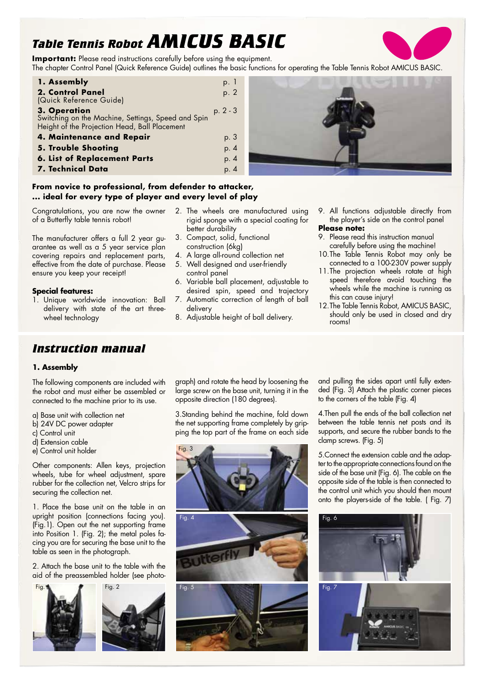# *Table Tennis Robot AMICUS BASIC*

**Important:** Please read instructions carefully before using the equipment. The chapter Control Panel (Quick Reference Guide) outlines the basic functions for operating the Table Tennis Robot AMICUS BASIC.

| 1. Assembly                                                                                                         | p. I       |
|---------------------------------------------------------------------------------------------------------------------|------------|
| 2. Control Panel<br>(Quick Reference Guide)                                                                         | p. 2       |
| 3. Operation<br>Switching on the Machine, Settings, Speed and Spin<br>Height of the Projection Head, Ball Placement | $p. 2 - 3$ |
| 4. Maintenance and Repair                                                                                           | p. 3       |
| <b>5. Trouble Shooting</b>                                                                                          | p. 4       |
| <b>6. List of Replacement Parts</b>                                                                                 | p. 4       |
| 7. Technical Data                                                                                                   | p. 4       |



# **From novice to professional, from defender to attacker, ... ideal for every type of player and every level of play**

Congratulations, you are now the owner of a Butterfly table tennis robot!

The manufacturer offers a full 2 year guarantee as well as a 5 year service plan covering repairs and replacement parts, effective from the date of purchase. Please ensure you keep your receipt!

# **Special features:**

- 1. Unique worldwide innovation: Ball delivery with state of the art threewheel technology
- 2. The wheels are manufactured using rigid sponge with a special coating for better durability
- 3. Compact, solid, functional construction (6kg)
- 4. A large all-round collection net
- 5. Well designed and user-friendly control panel
- 6. Variable ball placement, adjustable to desired spin, speed and trajectory
- 7. Automatic correction of length of ball delivery
- 8. Adjustable height of ball delivery.
- 9. All functions adjustable directly from the player's side on the control panel **Please note:**
- 9. Please read this instruction manual carefully before using the machine!
- 10.The Table Tennis Robot may only be connected to a 100-230V power supply
- 11.The projection wheels rotate at high speed therefore avoid touching the wheels while the machine is running as this can cause injury!
- 12.The Table Tennis Robot, AMICUS BASIC, should only be used in closed and dry rooms!

# *Instruction manual*

# **1. Assembly**

The following components are included with the robot and must either be assembled or connected to the machine prior to its use.

- a) Base unit with collection net
- b) 24V DC power adapter
- c) Control unit
- d) Extension cable
- e) Control unit holder

Other components: Allen keys, projection wheels, tube for wheel adjustment, spare rubber for the collection net, Velcro strips for securing the collection net.

1. Place the base unit on the table in an upright position (connections facing you). (Fig.1). Open out the net supporting frame into Position 1. (Fig. 2); the metal poles facing you are for securing the base unit to the table as seen in the photograph.

2. Attach the base unit to the table with the aid of the preassembled holder (see photo-



graph) and rotate the head by loosening the large screw on the base unit, turning it in the opposite direction (180 degrees).

3.Standing behind the machine, fold down the net supporting frame completely by gripping the top part of the frame on each side



and pulling the sides apart until fully extended (Fig. 3) Attach the plastic corner pieces to the corners of the table (Fig. 4)

4.Then pull the ends of the ball collection net between the table tennis net posts and its supports, and secure the rubber bands to the clamp screws. (Fig. 5)

5.Connect the extension cable and the adapter to the appropriate connections found on the side of the base unit (Fig. 6). The cable on the opposite side of the table is then connected to the control unit which you should then mount onto the players-side of the table. ( Fig. 7)

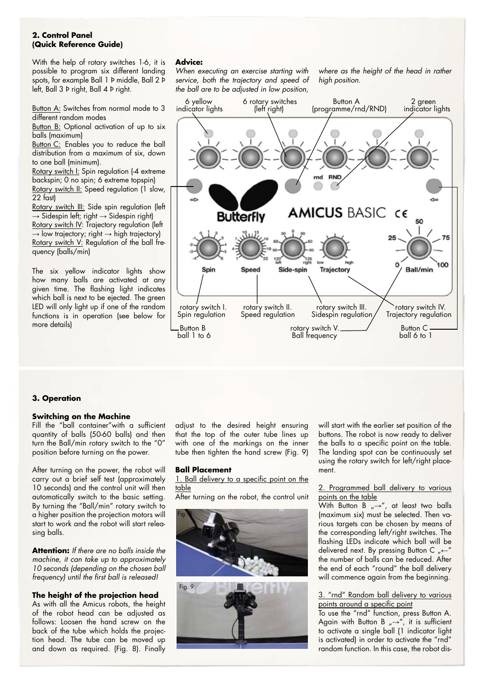# **2. Control Panel (Quick Reference Guide)**

With the help of rotary switches 1-6, it is possible to program six different landing spots, for example Ball 1 Þ middle, Ball 2 Þ left, Ball 3 Þ right, Ball 4 Þ right.

Button A: Switches from normal mode to 3 different random modes

Button B: Optional activation of up to six balls (maximum)

Button C: Enables you to reduce the ball distribution from a maximum of six, down to one ball (minimum).

Rotary switch I: Spin regulation (-4 extreme backspin; 0 no spin; 6 extreme topspin) Rotary switch II: Speed regulation (1 slow,

22 fast) Rotary switch III: Side spin regulation (left  $\rightarrow$  Sidespin left; right  $\rightarrow$  Sidespin right) Rotary switch IV: Trajectory regulation (left  $\rightarrow$  low trajectory; right  $\rightarrow$  high trajectory) Rotary switch V: Regulation of the ball frequency (balls/min)

The six yellow indicator lights show how many balls are activated at any given time. The flashing light indicates which ball is next to be ejected. The green LED will only light up if one of the random functions is in operation (see below for more details)

# **Advice:**

*When executing an exercise starting with service, both the trajectory and speed of the ball are to be adjusted in low position,* 

*where as the height of the head in rather high position.*



# **3. Operation**

#### **Switching on the Machine**

Fill the "ball container"with a sufficient quantity of balls (50-60 balls) and then turn the Ball/min rotary switch to the "0" position before turning on the power.

After turning on the power, the robot will carry out a brief self test (approximately 10 seconds) and the control unit will then automatically switch to the basic setting. By turning the "Ball/min" rotary switch to a higher position the projection motors will start to work and the robot will start releasing balls.

**Attention:** *If there are no balls inside the machine, it can take up to approximately 10 seconds (depending on the chosen ball frequency) until the first ball is released!*

# **The height of the projection head**

As with all the Amicus robots, the height of the robot head can be adjusted as follows: Loosen the hand screw on the back of the tube which holds the projection head. The tube can be moved up and down as required. (Fig. 8). Finally

adjust to the desired height ensuring that the top of the outer tube lines up with one of the markings on the inner tube then tighten the hand screw (Fig. 9)

#### **Ball Placement**

1. Ball delivery to a specific point on the table

After turning on the robot, the control unit



will start with the earlier set position of the buttons. The robot is now ready to deliver the balls to a specific point on the table. The landing spot can be continuously set using the rotary switch for left/right placement.

#### 2. Programmed ball delivery to various points on the table

With Button B  $\overline{N} \rightarrow \overline{N}$ , at least two balls (maximum six) must be selected. Then various targets can be chosen by means of the corresponding left/right switches. The flashing LEDs indicate which ball will be delivered next. By pressing Button C "←" the number of balls can be reduced. After the end of each "round" the ball delivery will commence again from the beginning.

#### 3. "rnd" Random ball delivery to various points around a specific point

To use the "rnd" function, press Button A. Again with Button B  $\rightarrow$ ", it is sufficient to activate a single ball (1 indicator light is activated) in order to activate the "rnd" random function. In this case, the robot dis-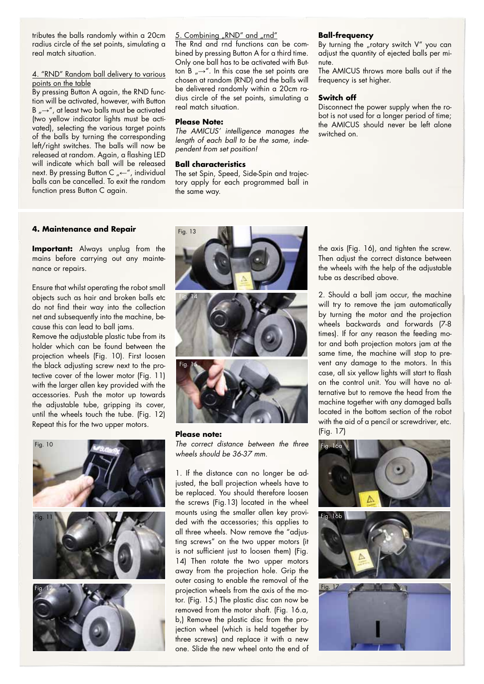tributes the balls randomly within a 20cm radius circle of the set points, simulating a real match situation.

#### 4. "RND" Random ball delivery to various points on the table

By pressing Button A again, the RND function will be activated, however, with Button B  $\mu \rightarrow \infty$ , at least two balls must be activated (two yellow indicator lights must be activated), selecting the various target points of the balls by turning the corresponding left/right switches. The balls will now be released at random. Again, a flashing LED will indicate which ball will be released next. By pressing Button C "←", individual balls can be cancelled. To exit the random function press Button C again.

#### 5. Combining "RND" and "rnd"

The Rnd and rnd functions can be combined by pressing Button A for a third time. Only one ball has to be activated with Button B  $\rightarrow$ ". In this case the set points are chosen at random (RND) and the balls will be delivered randomly within a 20cm radius circle of the set points, simulating a real match situation.

# **Please Note:**

*The AMICUS' intelligence manages the length of each ball to be the same, independent from set position!*

#### **Ball characteristics**

The set Spin, Speed, Side-Spin and trajectory apply for each programmed ball in the same way.

#### **Ball-frequency**

By turning the "rotary switch  $V''$  you can adjust the quantity of ejected balls per minute.

The AMICUS throws more balls out if the frequency is set higher.

#### **Switch off**

Disconnect the power supply when the robot is not used for a longer period of time; the AMICUS should never be left alone switched on.

#### **4. Maintenance and Repair**

**Important:** Always unplug from the mains before carrying out any maintenance or repairs.

Ensure that whilst operating the robot small objects such as hair and broken balls etc do not find their way into the collection net and subsequently into the machine, because this can lead to ball jams.

Remove the adjustable plastic tube from its holder which can be found between the projection wheels (Fig. 10). First loosen the black adjusting screw next to the protective cover of the lower motor (Fig. 11) with the larger allen key provided with the accessories. Push the motor up towards the adjustable tube, gripping its cover, until the wheels touch the tube. (Fig. 12) Repeat this for the two upper motors.





#### **Please note:**  *The correct distance between the three wheels should be 36-37 mm.*

1. If the distance can no longer be adjusted, the ball projection wheels have to be replaced. You should therefore loosen the screws (Fig.13) located in the wheel mounts using the smaller allen key provided with the accessories; this applies to all three wheels. Now remove the "adjusting screws" on the two upper motors (it is not sufficient just to loosen them) (Fig. 14) Then rotate the two upper motors away from the projection hole. Grip the outer casing to enable the removal of the projection wheels from the axis of the motor. (Fig. 15.) The plastic disc can now be removed from the motor shaft. (Fig. 16.a, b,) Remove the plastic disc from the projection wheel (which is held together by three screws) and replace it with a new one. Slide the new wheel onto the end of

the axis (Fig. 16), and tighten the screw. Then adjust the correct distance between the wheels with the help of the adjustable tube as described above.

2. Should a ball jam occur, the machine will try to remove the jam automatically by turning the motor and the projection wheels backwards and forwards (7-8 times). If for any reason the feeding motor and both projection motors jam at the same time, the machine will stop to prevent any damage to the motors. In this case, all six yellow lights will start to flash on the control unit. You will have no alternative but to remove the head from the machine together with any damaged balls located in the bottom section of the robot with the aid of a pencil or screwdriver, etc. (Fig. 17)